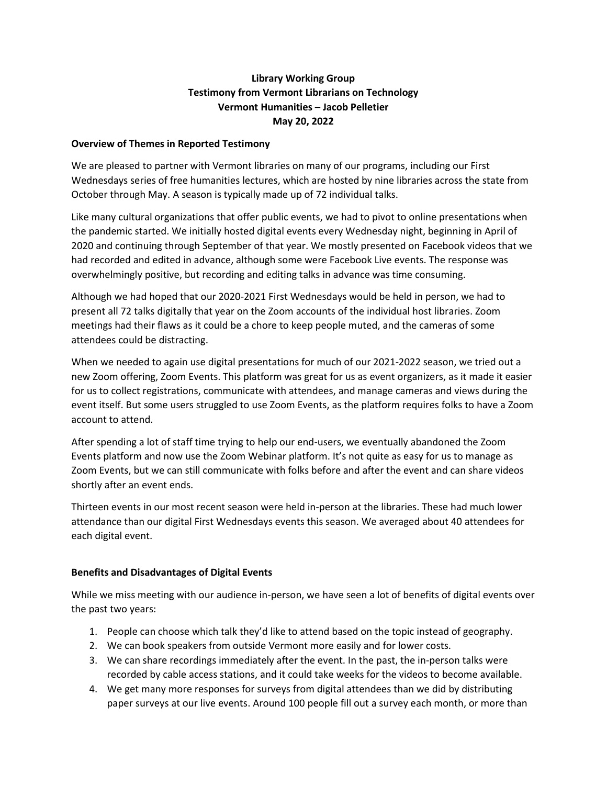## **Library Working Group Testimony from Vermont Librarians on Technology Vermont Humanities – Jacob Pelletier May 20, 2022**

#### **Overview of Themes in Reported Testimony**

We are pleased to partner with Vermont libraries on many of our programs, including our First Wednesdays series of free humanities lectures, which are hosted by nine libraries across the state from October through May. A season is typically made up of 72 individual talks.

Like many cultural organizations that offer public events, we had to pivot to online presentations when the pandemic started. We initially hosted digital events every Wednesday night, beginning in April of 2020 and continuing through September of that year. We mostly presented on Facebook videos that we had recorded and edited in advance, although some were Facebook Live events. The response was overwhelmingly positive, but recording and editing talks in advance was time consuming.

Although we had hoped that our 2020-2021 First Wednesdays would be held in person, we had to present all 72 talks digitally that year on the Zoom accounts of the individual host libraries. Zoom meetings had their flaws as it could be a chore to keep people muted, and the cameras of some attendees could be distracting.

When we needed to again use digital presentations for much of our 2021-2022 season, we tried out a new Zoom offering, Zoom Events. This platform was great for us as event organizers, as it made it easier for us to collect registrations, communicate with attendees, and manage cameras and views during the event itself. But some users struggled to use Zoom Events, as the platform requires folks to have a Zoom account to attend.

After spending a lot of staff time trying to help our end-users, we eventually abandoned the Zoom Events platform and now use the Zoom Webinar platform. It's not quite as easy for us to manage as Zoom Events, but we can still communicate with folks before and after the event and can share videos shortly after an event ends.

Thirteen events in our most recent season were held in-person at the libraries. These had much lower attendance than our digital First Wednesdays events this season. We averaged about 40 attendees for each digital event.

### **Benefits and Disadvantages of Digital Events**

While we miss meeting with our audience in-person, we have seen a lot of benefits of digital events over the past two years:

- 1. People can choose which talk they'd like to attend based on the topic instead of geography.
- 2. We can book speakers from outside Vermont more easily and for lower costs.
- 3. We can share recordings immediately after the event. In the past, the in-person talks were recorded by cable access stations, and it could take weeks for the videos to become available.
- 4. We get many more responses for surveys from digital attendees than we did by distributing paper surveys at our live events. Around 100 people fill out a survey each month, or more than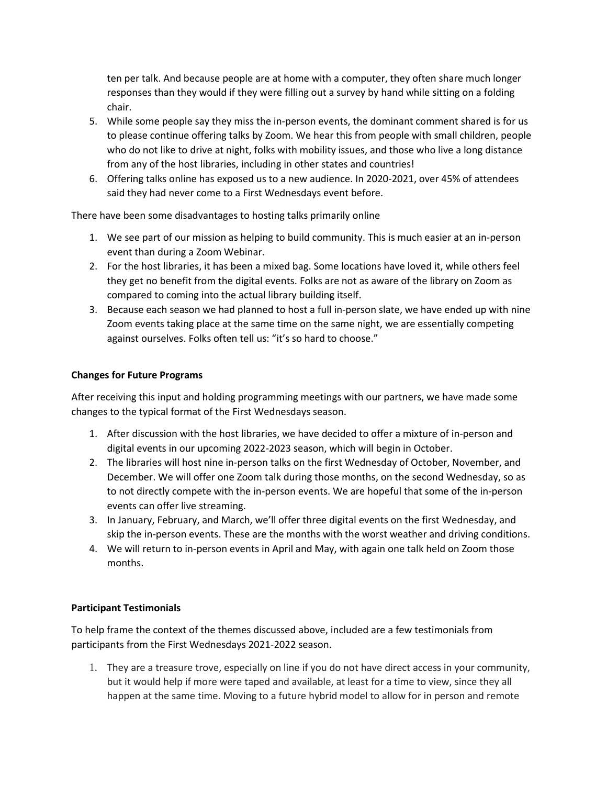ten per talk. And because people are at home with a computer, they often share much longer responses than they would if they were filling out a survey by hand while sitting on a folding chair.

- 5. While some people say they miss the in-person events, the dominant comment shared is for us to please continue offering talks by Zoom. We hear this from people with small children, people who do not like to drive at night, folks with mobility issues, and those who live a long distance from any of the host libraries, including in other states and countries!
- 6. Offering talks online has exposed us to a new audience. In 2020-2021, over 45% of attendees said they had never come to a First Wednesdays event before.

There have been some disadvantages to hosting talks primarily online

- 1. We see part of our mission as helping to build community. This is much easier at an in-person event than during a Zoom Webinar.
- 2. For the host libraries, it has been a mixed bag. Some locations have loved it, while others feel they get no benefit from the digital events. Folks are not as aware of the library on Zoom as compared to coming into the actual library building itself.
- 3. Because each season we had planned to host a full in-person slate, we have ended up with nine Zoom events taking place at the same time on the same night, we are essentially competing against ourselves. Folks often tell us: "it's so hard to choose."

## **Changes for Future Programs**

After receiving this input and holding programming meetings with our partners, we have made some changes to the typical format of the First Wednesdays season.

- 1. After discussion with the host libraries, we have decided to offer a mixture of in-person and digital events in our upcoming 2022-2023 season, which will begin in October.
- 2. The libraries will host nine in-person talks on the first Wednesday of October, November, and December. We will offer one Zoom talk during those months, on the second Wednesday, so as to not directly compete with the in-person events. We are hopeful that some of the in-person events can offer live streaming.
- 3. In January, February, and March, we'll offer three digital events on the first Wednesday, and skip the in-person events. These are the months with the worst weather and driving conditions.
- 4. We will return to in-person events in April and May, with again one talk held on Zoom those months.

# **Participant Testimonials**

To help frame the context of the themes discussed above, included are a few testimonials from participants from the First Wednesdays 2021-2022 season.

1. They are a treasure trove, especially on line if you do not have direct access in your community, but it would help if more were taped and available, at least for a time to view, since they all happen at the same time. Moving to a future hybrid model to allow for in person and remote